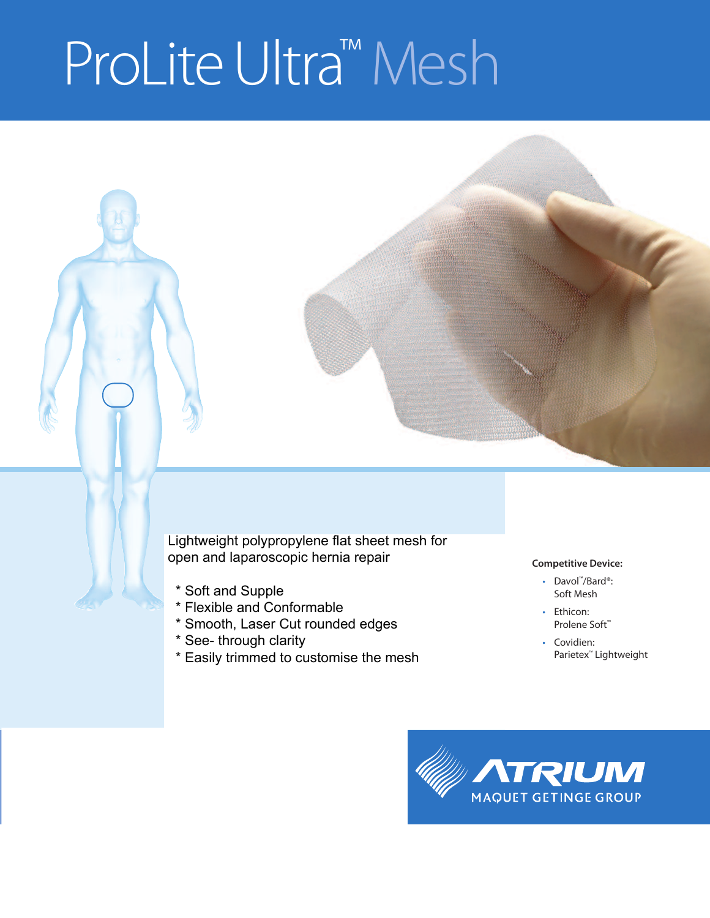# ProLite Ultra<sup>™</sup> Mesh

open and laparoscopic hernia repair Lightweight polypropylene flat sheet mesh for

- \* Soft and Supple
- \* Flexible and Conformable
- \* Smooth, Laser Cut rounded edges
- $^*$  See- through clarity
	- \* Easily trimmed to customise the mesh

#### **Competitive Device:**

- Davol ™/Bard®: Soft Mesh
- Ethicon: Prolene Soft™
- Covidien: Parietex™ Lightweight